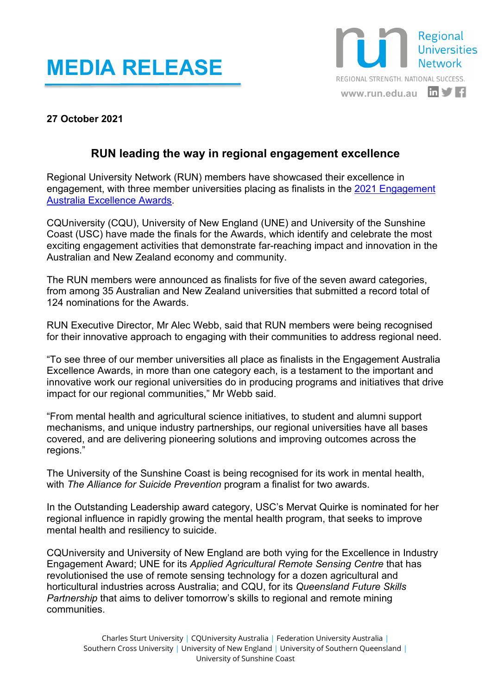## **MEDIA RELEASE**



## **27 October 2021**

## **RUN leading the way in regional engagement excellence**

Regional University Network (RUN) members have showcased their excellence in engagement, with three member universities placing as finalists in the [2021 Engagement](https://engagementaustralia.org.au/2021-excellence-awards-finalists/)  [Australia Excellence Awards.](https://engagementaustralia.org.au/2021-excellence-awards-finalists/)

CQUniversity (CQU), University of New England (UNE) and University of the Sunshine Coast (USC) have made the finals for the Awards, which identify and celebrate the most exciting engagement activities that demonstrate far-reaching impact and innovation in the Australian and New Zealand economy and community.

The RUN members were announced as finalists for five of the seven award categories, from among 35 Australian and New Zealand universities that submitted a record total of 124 nominations for the Awards.

RUN Executive Director, Mr Alec Webb, said that RUN members were being recognised for their innovative approach to engaging with their communities to address regional need.

"To see three of our member universities all place as finalists in the Engagement Australia Excellence Awards, in more than one category each, is a testament to the important and innovative work our regional universities do in producing programs and initiatives that drive impact for our regional communities," Mr Webb said.

"From mental health and agricultural science initiatives, to student and alumni support mechanisms, and unique industry partnerships, our regional universities have all bases covered, and are delivering pioneering solutions and improving outcomes across the regions."

The University of the Sunshine Coast is being recognised for its work in mental health, with *The Alliance for Suicide Prevention* program a finalist for two awards.

In the Outstanding Leadership award category, USC's Mervat Quirke is nominated for her regional influence in rapidly growing the mental health program, that seeks to improve mental health and resiliency to suicide.

CQUniversity and University of New England are both vying for the Excellence in Industry Engagement Award; UNE for its *Applied Agricultural Remote Sensing Centre* that has revolutionised the use of remote sensing technology for a dozen agricultural and horticultural industries across Australia; and CQU, for its *Queensland Future Skills Partnership* that aims to deliver tomorrow's skills to regional and remote mining communities.